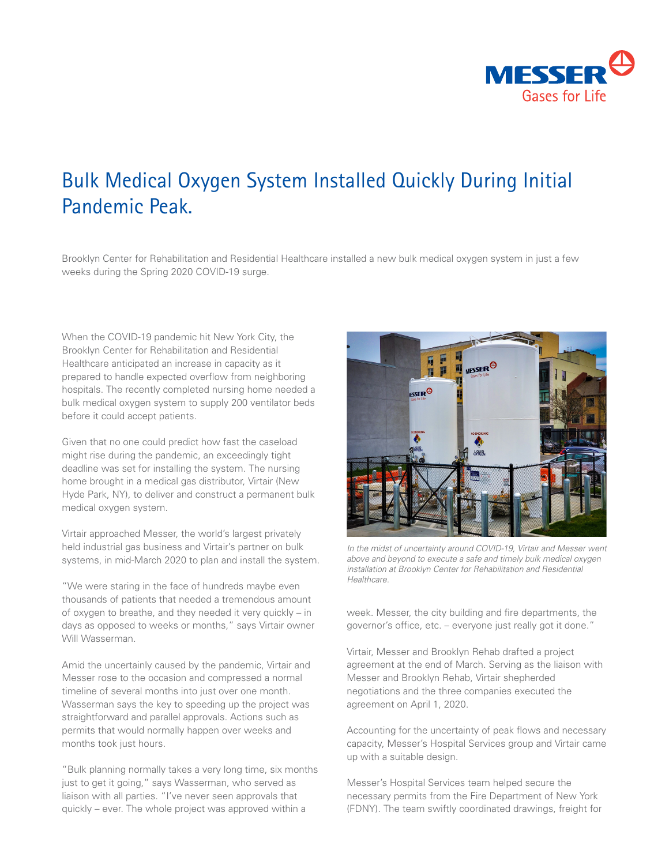

## Bulk Medical Oxygen System Installed Quickly During Initial Pandemic Peak.

Brooklyn Center for Rehabilitation and Residential Healthcare installed a new bulk medical oxygen system in just a few weeks during the Spring 2020 COVID-19 surge.

When the COVID-19 pandemic hit New York City, the Brooklyn Center for Rehabilitation and Residential Healthcare anticipated an increase in capacity as it prepared to handle expected overflow from neighboring hospitals. The recently completed nursing home needed a bulk medical oxygen system to supply 200 ventilator beds before it could accept patients.

Given that no one could predict how fast the caseload might rise during the pandemic, an exceedingly tight deadline was set for installing the system. The nursing home brought in a medical gas distributor, Virtair (New Hyde Park, NY), to deliver and construct a permanent bulk medical oxygen system.

Virtair approached Messer, the world's largest privately held industrial gas business and Virtair's partner on bulk systems, in mid-March 2020 to plan and install the system.

"We were staring in the face of hundreds maybe even thousands of patients that needed a tremendous amount of oxygen to breathe, and they needed it very quickly – in days as opposed to weeks or months," says Virtair owner Will Wasserman.

Amid the uncertainly caused by the pandemic, Virtair and Messer rose to the occasion and compressed a normal timeline of several months into just over one month. Wasserman says the key to speeding up the project was straightforward and parallel approvals. Actions such as permits that would normally happen over weeks and months took just hours.

"Bulk planning normally takes a very long time, six months just to get it going," says Wasserman, who served as liaison with all parties. "I've never seen approvals that quickly – ever. The whole project was approved within a



*In the midst of uncertainty around COVID-19, Virtair and Messer went above and beyond to execute a safe and timely bulk medical oxygen installation at Brooklyn Center for Rehabilitation and Residential Healthcare.*

week. Messer, the city building and fire departments, the governor's office, etc. – everyone just really got it done."

Virtair, Messer and Brooklyn Rehab drafted a project agreement at the end of March. Serving as the liaison with Messer and Brooklyn Rehab, Virtair shepherded negotiations and the three companies executed the agreement on April 1, 2020.

Accounting for the uncertainty of peak flows and necessary capacity, Messer's Hospital Services group and Virtair came up with a suitable design.

Messer's Hospital Services team helped secure the necessary permits from the Fire Department of New York (FDNY). The team swiftly coordinated drawings, freight for